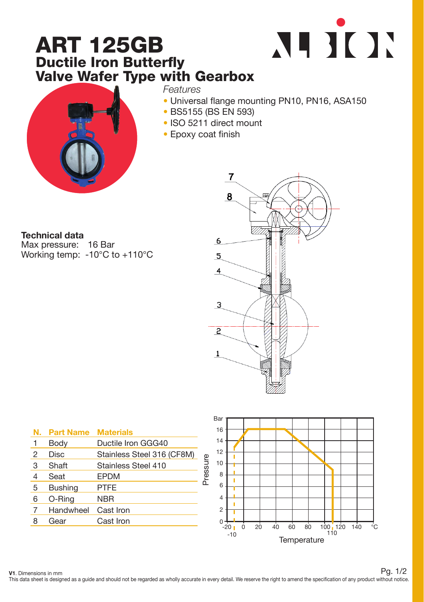## ART 125GB Ductile Iron Butterfly Valve Wafer Type with Gearbox





*Features*

- Universal flange mounting PN10, PN16, ASA150
- BS5155 (BS EN 593)
- ISO 5211 direct mount
- Epoxy coat finish

Technical data

Max pressure: 16 Bar Working temp: -10°C to +110°C



| N. | <b>Part Name</b> | <b>Materials</b>           |
|----|------------------|----------------------------|
| 1  | Body             | Ductile Iron GGG40         |
| 2  | <b>Disc</b>      | Stainless Steel 316 (CF8M) |
| 3  | Shaft            | Stainless Steel 410        |
| 4  | Seat             | <b>EPDM</b>                |
| 5  | <b>Bushing</b>   | <b>PTFE</b>                |
| 6  | O-Ring           | <b>NBR</b>                 |
| 7  | Handwheel        | Cast Iron                  |
| 8  | Gear             | Cast Iron                  |
|    |                  |                            |